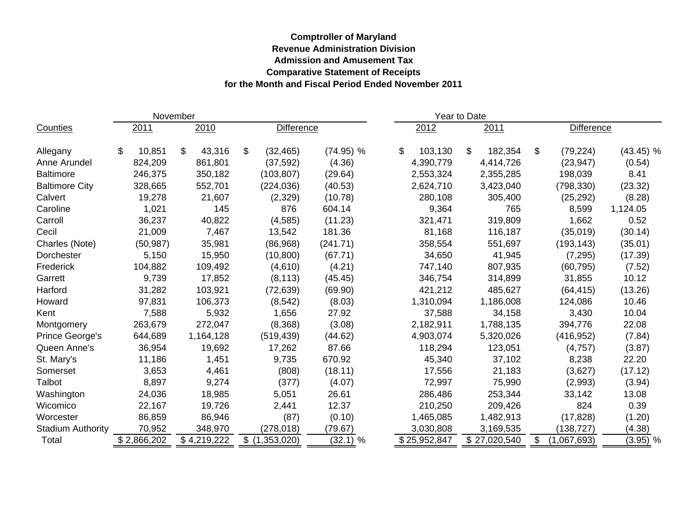## **Comptroller of Maryland Revenue Administration Division Admission and Amusement Tax Comparative Statement of Receipts for the Month and Fiscal Period Ended November 2011**

| November                 |      |             |      |             |                   |               |  |             | Year to Date  |      |              |                   |             |             |  |
|--------------------------|------|-------------|------|-------------|-------------------|---------------|--|-------------|---------------|------|--------------|-------------------|-------------|-------------|--|
| Counties                 | 2011 |             | 2010 |             | <b>Difference</b> |               |  | 2012        |               | 2011 |              | <b>Difference</b> |             |             |  |
| Allegany                 | \$.  | 10,851      | \$   | 43,316      | \$                | (32, 465)     |  | $(74.95)$ % | \$<br>103,130 | \$   | 182,354      | \$                | (79, 224)   | $(43.45)$ % |  |
| Anne Arundel             |      | 824,209     |      | 861,801     |                   | (37, 592)     |  | (4.36)      | 4,390,779     |      | 4,414,726    |                   | (23, 947)   | (0.54)      |  |
| <b>Baltimore</b>         |      | 246,375     |      | 350,182     |                   | (103, 807)    |  | (29.64)     | 2,553,324     |      | 2,355,285    |                   | 198,039     | 8.41        |  |
| <b>Baltimore City</b>    |      | 328,665     |      | 552,701     |                   | (224, 036)    |  | (40.53)     | 2,624,710     |      | 3,423,040    |                   | (798, 330)  | (23.32)     |  |
| Calvert                  |      | 19,278      |      | 21,607      |                   | (2,329)       |  | (10.78)     | 280,108       |      | 305,400      |                   | (25, 292)   | (8.28)      |  |
| Caroline                 |      | 1,021       |      | 145         |                   | 876           |  | 604.14      | 9,364         |      | 765          |                   | 8,599       | 1,124.05    |  |
| Carroll                  |      | 36,237      |      | 40,822      |                   | (4,585)       |  | (11.23)     | 321,471       |      | 319,809      |                   | 1,662       | 0.52        |  |
| Cecil                    |      | 21,009      |      | 7,467       |                   | 13,542        |  | 181.36      | 81,168        |      | 116,187      |                   | (35,019)    | (30.14)     |  |
| Charles (Note)           |      | (50, 987)   |      | 35,981      |                   | (86,968)      |  | (241.71)    | 358,554       |      | 551,697      |                   | (193, 143)  | (35.01)     |  |
| Dorchester               |      | 5,150       |      | 15,950      |                   | (10, 800)     |  | (67.71)     | 34,650        |      | 41,945       |                   | (7, 295)    | (17.39)     |  |
| Frederick                |      | 104,882     |      | 109,492     |                   | (4,610)       |  | (4.21)      | 747,140       |      | 807,935      |                   | (60, 795)   | (7.52)      |  |
| Garrett                  |      | 9,739       |      | 17,852      |                   | (8, 113)      |  | (45.45)     | 346,754       |      | 314,899      |                   | 31,855      | 10.12       |  |
| Harford                  |      | 31,282      |      | 103,921     |                   | (72, 639)     |  | (69.90)     | 421,212       |      | 485,627      |                   | (64, 415)   | (13.26)     |  |
| Howard                   |      | 97,831      |      | 106,373     |                   | (8, 542)      |  | (8.03)      | 1,310,094     |      | 1,186,008    |                   | 124,086     | 10.46       |  |
| Kent                     |      | 7,588       |      | 5,932       |                   | 1,656         |  | 27.92       | 37,588        |      | 34,158       |                   | 3,430       | 10.04       |  |
| Montgomery               |      | 263,679     |      | 272,047     |                   | (8,368)       |  | (3.08)      | 2,182,911     |      | 1,788,135    |                   | 394,776     | 22.08       |  |
| Prince George's          |      | 644,689     |      | 1,164,128   |                   | (519, 439)    |  | (44.62)     | 4,903,074     |      | 5,320,026    |                   | (416, 952)  | (7.84)      |  |
| Queen Anne's             |      | 36,954      |      | 19,692      |                   | 17,262        |  | 87.66       | 118,294       |      | 123,051      |                   | (4,757)     | (3.87)      |  |
| St. Mary's               |      | 11,186      |      | 1,451       |                   | 9,735         |  | 670.92      | 45,340        |      | 37,102       |                   | 8,238       | 22.20       |  |
| Somerset                 |      | 3,653       |      | 4,461       |                   | (808)         |  | (18.11)     | 17,556        |      | 21,183       |                   | (3,627)     | (17.12)     |  |
| Talbot                   |      | 8,897       |      | 9,274       |                   | (377)         |  | (4.07)      | 72,997        |      | 75,990       |                   | (2,993)     | (3.94)      |  |
| Washington               |      | 24,036      |      | 18,985      |                   | 5,051         |  | 26.61       | 286,486       |      | 253,344      |                   | 33,142      | 13.08       |  |
| Wicomico                 |      | 22,167      |      | 19,726      |                   | 2,441         |  | 12.37       | 210,250       |      | 209,426      |                   | 824         | 0.39        |  |
| Worcester                |      | 86,859      |      | 86,946      |                   | (87)          |  | (0.10)      | 1,465,085     |      | 1,482,913    |                   | (17, 828)   | (1.20)      |  |
| <b>Stadium Authority</b> |      | 70,952      |      | 348,970     |                   | (278, 018)    |  | (79.67)     | 3,030,808     |      | 3,169,535    |                   | (138, 727)  | (4.38)      |  |
| Total                    |      | \$2,866,202 |      | \$4,219,222 |                   | \$(1,353,020) |  | (32.1) %    | \$25,952,847  |      | \$27,020,540 | \$                | (1,067,693) | $(3.95)$ %  |  |